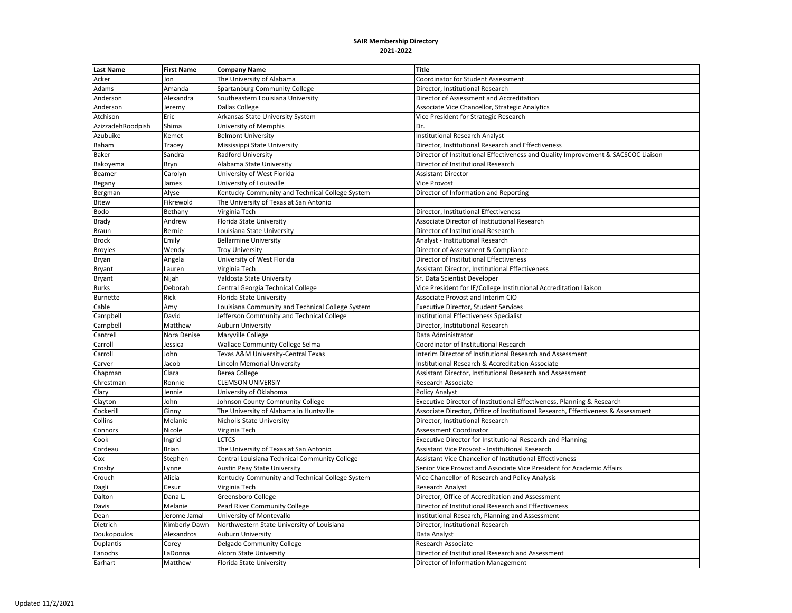| <b>Last Name</b>  | <b>First Name</b> | <b>Company Name</b>                              | <b>Title</b>                                                                      |
|-------------------|-------------------|--------------------------------------------------|-----------------------------------------------------------------------------------|
| Acker             | Jon               | The University of Alabama                        | <b>Coordinator for Student Assessment</b>                                         |
| Adams             | Amanda            | Spartanburg Community College                    | Director, Institutional Research                                                  |
| Anderson          | Alexandra         | Southeastern Louisiana University                | Director of Assessment and Accreditation                                          |
| Anderson          | Jeremy            | <b>Dallas College</b>                            | Associate Vice Chancellor, Strategic Analytics                                    |
| Atchison          | Eric              | Arkansas State University System                 | Vice President for Strategic Research                                             |
| AzizzadehRoodpish | Shima             | University of Memphis                            | Dr.                                                                               |
| Azubuike          | Kemet             | <b>Belmont University</b>                        | <b>Institutional Research Analyst</b>                                             |
| Baham             | Tracey            | Mississippi State University                     | Director, Institutional Research and Effectiveness                                |
| Baker             | Sandra            | Radford University                               | Director of Institutional Effectiveness and Quality Improvement & SACSCOC Liaison |
| Bakoyema          | Bryn              | Alabama State University                         | Director of Institutional Research                                                |
| Beamer            | Carolyn           | University of West Florida                       | <b>Assistant Director</b>                                                         |
| Begany            | James             | University of Louisville                         | <b>Vice Provost</b>                                                               |
| Bergman           | Alyse             | Kentucky Community and Technical College System  | Director of Information and Reporting                                             |
| Bitew             | Fikrewold         | The University of Texas at San Antonio           |                                                                                   |
| Bodo              | Bethany           | Virginia Tech                                    | Director, Institutional Effectiveness                                             |
| Brady             | Andrew            | Florida State University                         | Associate Director of Institutional Research                                      |
| Braun             | Bernie            | Louisiana State University                       | Director of Institutional Research                                                |
| <b>Brock</b>      | Emily             | <b>Bellarmine University</b>                     | Analyst - Institutional Research                                                  |
| <b>Broyles</b>    | Wendy             | <b>Troy University</b>                           | Director of Assessment & Compliance                                               |
| Bryan             | Angela            | University of West Florida                       | Director of Institutional Effectiveness                                           |
| <b>Bryant</b>     | Lauren            | Virginia Tech                                    | <b>Assistant Director, Institutional Effectiveness</b>                            |
| <b>Bryant</b>     | Nijah             | Valdosta State University                        | Sr. Data Scientist Developer                                                      |
| <b>Burks</b>      | Deborah           | Central Georgia Technical College                | Vice President for IE/College Institutional Accreditation Liaison                 |
| Burnette          | Rick              | Florida State University                         | Associate Provost and Interim CIO                                                 |
| Cable             | Amy               | Louisiana Community and Technical College System | <b>Executive Director, Student Services</b>                                       |
| Campbell          | David             | Jefferson Community and Technical College        | <b>Institutional Effectiveness Specialist</b>                                     |
| Campbell          | Matthew           | <b>Auburn University</b>                         | Director, Institutional Research                                                  |
| Cantrell          | Nora Denise       | Maryville College                                | Data Administrator                                                                |
| Carroll           | Jessica           | <b>Wallace Community College Selma</b>           | Coordinator of Institutional Research                                             |
| Carroll           | John              | Texas A&M University-Central Texas               | Interim Director of Institutional Research and Assessment                         |
| Carver            | Jacob             | Lincoln Memorial University                      | Institutional Research & Accreditation Associate                                  |
| Chapman           | Clara             | <b>Berea College</b>                             | Assistant Director, Institutional Research and Assessment                         |
| Chrestman         | Ronnie            | <b>CLEMSON UNIVERSIY</b>                         | Research Associate                                                                |
| Clary             | Jennie            | University of Oklahoma                           | <b>Policy Analyst</b>                                                             |
| Clayton           | John              | Johnson County Community College                 | Executive Director of Institutional Effectiveness, Planning & Research            |
| Cockerill         | Ginny             | The University of Alabama in Huntsville          | Associate Director, Office of Institutional Research, Effectiveness & Assessment  |
| Collins           | Melanie           | <b>Nicholls State University</b>                 | Director, Institutional Research                                                  |
| Connors           | Nicole            | Virginia Tech                                    | <b>Assessment Coordinator</b>                                                     |
| Cook              | Ingrid            | LCTCS                                            | Executive Director for Institutional Research and Planning                        |
| Cordeau           | <b>Brian</b>      | The University of Texas at San Antonio           | Assistant Vice Provost - Institutional Research                                   |
| Cox               | Stephen           | Central Louisiana Technical Community College    | Assistant Vice Chancellor of Institutional Effectiveness                          |
| Crosby            | Lynne             | <b>Austin Peay State University</b>              | Senior Vice Provost and Associate Vice President for Academic Affairs             |
| Crouch            | Alicia            | Kentucky Community and Technical College System  | Vice Chancellor of Research and Policy Analysis                                   |
| Dagli             | Cesur             | Virginia Tech                                    | <b>Research Analyst</b>                                                           |
| Dalton            | Dana L.           | Greensboro College                               | Director. Office of Accreditation and Assessment                                  |
| Davis             | Melanie           | Pearl River Community College                    | Director of Institutional Research and Effectiveness                              |
| Dean              | Jerome Jamal      | University of Montevallo                         | Institutional Research, Planning and Assessment                                   |
| Dietrich          | Kimberly Dawn     | Northwestern State University of Louisiana       | Director, Institutional Research                                                  |
| Doukopoulos       | Alexandros        | <b>Auburn University</b>                         | Data Analyst                                                                      |
| Duplantis         | Corey             | Delgado Community College                        | Research Associate                                                                |
| Eanochs           | LaDonna           | <b>Alcorn State University</b>                   | Director of Institutional Research and Assessment                                 |
| Earhart           | Matthew           | Florida State University                         | Director of Information Management                                                |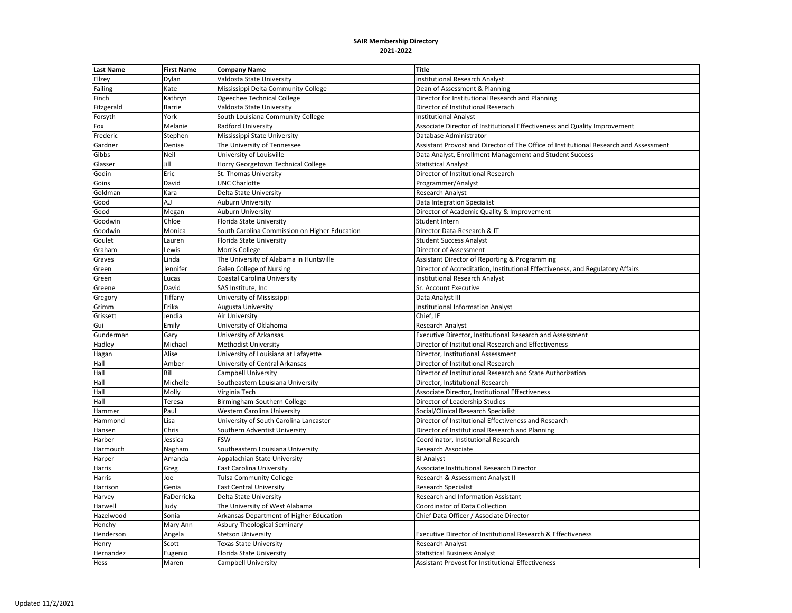| <b>Last Name</b> | <b>First Name</b> | <b>Company Name</b>                           | <b>Title</b>                                                                          |
|------------------|-------------------|-----------------------------------------------|---------------------------------------------------------------------------------------|
| Ellzey           | Dylan             | Valdosta State University                     | <b>Institutional Research Analyst</b>                                                 |
| Failing          | Kate              | Mississippi Delta Community College           | Dean of Assessment & Planning                                                         |
| Finch            | Kathryn           | Ogeechee Technical College                    | Director for Institutional Research and Planning                                      |
| Fitzgerald       | <b>Barrie</b>     | Valdosta State University                     | Director of Institutional Reserach                                                    |
| Forsyth          | York              | South Louisiana Community College             | <b>Institutional Analyst</b>                                                          |
| Fox              | Melanie           | <b>Radford University</b>                     | Associate Director of Institutional Effectiveness and Quality Improvement             |
| Frederic         | Stephen           | Mississippi State University                  | Database Administrator                                                                |
| Gardner          | Denise            | The University of Tennessee                   | Assistant Provost and Director of The Office of Institutional Research and Assessment |
| Gibbs            | Neil              | University of Louisville                      | Data Analyst, Enrollment Management and Student Success                               |
| Glasser          | Jill              | Horry Georgetown Technical College            | <b>Statistical Analyst</b>                                                            |
| Godin            | Eric              | St. Thomas University                         | Director of Institutional Research                                                    |
| Goins            | David             | <b>UNC Charlotte</b>                          | Programmer/Analyst                                                                    |
| Goldman          | Kara              | Delta State University                        | Research Analyst                                                                      |
| Good             | A <sub>1</sub>    | <b>Auburn University</b>                      | Data Integration Specialist                                                           |
| Good             | Megan             | <b>Auburn University</b>                      | Director of Academic Quality & Improvement                                            |
| Goodwin          | Chloe             | Florida State University                      | Student Intern                                                                        |
| Goodwin          | Monica            | South Carolina Commission on Higher Education | Director Data-Research & IT                                                           |
| Goulet           | Lauren            | Florida State University                      | <b>Student Success Analyst</b>                                                        |
| Graham           | Lewis             | Morris College                                | Director of Assessment                                                                |
| Graves           | Linda             | The University of Alabama in Huntsville       | Assistant Director of Reporting & Programming                                         |
| Green            | Jennifer          | <b>Galen College of Nursing</b>               | Director of Accreditation, Institutional Effectiveness, and Regulatory Affairs        |
| Green            | Lucas             | Coastal Carolina University                   | <b>Institutional Research Analyst</b>                                                 |
| Greene           | David             | SAS Institute, Inc                            | Sr. Account Executive                                                                 |
| Gregory          | Tiffany           | University of Mississippi                     | Data Analyst III                                                                      |
| Grimm            | Erika             | Augusta University                            | <b>Institutional Information Analyst</b>                                              |
| Grissett         | Jendia            | Air University                                | Chief, IE                                                                             |
| Gui              | Emily             | University of Oklahoma                        | <b>Research Analyst</b>                                                               |
| Gunderman        | Gary              | University of Arkansas                        | Executive Director, Institutional Research and Assessment                             |
| Hadley           | Michael           | <b>Methodist University</b>                   | Director of Institutional Research and Effectiveness                                  |
| Hagan            | Alise             | University of Louisiana at Lafayette          | Director, Institutional Assessment                                                    |
| Hall             | Amber             | University of Central Arkansas                | Director of Institutional Research                                                    |
| Hall             | Bill              | Campbell University                           | Director of Institutional Research and State Authorization                            |
| Hall             | Michelle          | Southeastern Louisiana University             | Director, Institutional Research                                                      |
| Hall             | Molly             | Virginia Tech                                 | Associate Director, Institutional Effectiveness                                       |
| Hall             | Teresa            | Birmingham-Southern College                   | Director of Leadership Studies                                                        |
| Hammer           | Paul              | Western Carolina University                   | Social/Clinical Research Specialist                                                   |
| Hammond          | Lisa              | University of South Carolina Lancaster        | Director of Institutional Effectiveness and Research                                  |
| Hansen           | Chris             | Southern Adventist University                 | Director of Institutional Research and Planning                                       |
| Harber           | Jessica           | <b>FSW</b>                                    | Coordinator, Institutional Research                                                   |
| Harmouch         | Nagham            | Southeastern Louisiana University             | Research Associate                                                                    |
| Harper           | Amanda            | Appalachian State University                  | <b>BI Analyst</b>                                                                     |
| Harris           | Greg              | <b>East Carolina University</b>               | Associate Institutional Research Director                                             |
| Harris           | Joe               | <b>Tulsa Community College</b>                | Research & Assessment Analyst II                                                      |
| Harrison         | Genia             | <b>East Central University</b>                | <b>Research Specialist</b>                                                            |
| Harvey           | FaDerricka        | Delta State University                        | Research and Information Assistant                                                    |
| Harwell          | Judy              | The University of West Alabama                | Coordinator of Data Collection                                                        |
| Hazelwood        | Sonia             | Arkansas Department of Higher Education       | Chief Data Officer / Associate Director                                               |
| Henchy           | Mary Ann          | Asbury Theological Seminary                   |                                                                                       |
| Henderson        | Angela            | <b>Stetson University</b>                     | Executive Director of Institutional Research & Effectiveness                          |
| Henry            | Scott             | <b>Texas State University</b>                 | <b>Research Analyst</b>                                                               |
| Hernandez        | Eugenio           | Florida State University                      | <b>Statistical Business Analyst</b>                                                   |
| Hess             | Maren             | Campbell University                           | <b>Assistant Provost for Institutional Effectiveness</b>                              |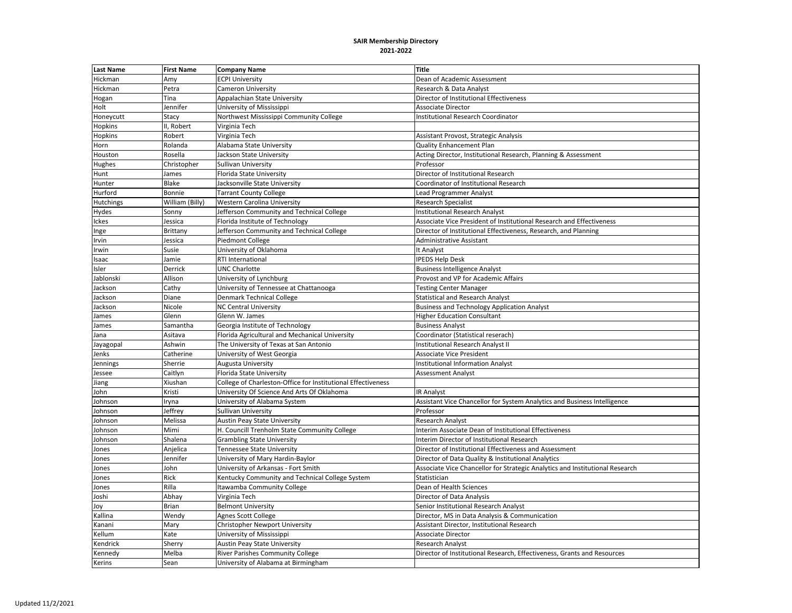| <b>Last Name</b> | <b>First Name</b> | <b>Company Name</b>                                          | <b>Title</b>                                                                 |
|------------------|-------------------|--------------------------------------------------------------|------------------------------------------------------------------------------|
| Hickman          | Amy               | <b>ECPI University</b>                                       | Dean of Academic Assessment                                                  |
| Hickman          | Petra             | Cameron University                                           | Research & Data Analyst                                                      |
| Hogan            | Tina              | Appalachian State University                                 | Director of Institutional Effectiveness                                      |
| Holt             | Jennifer          | University of Mississippi                                    | <b>Associate Director</b>                                                    |
| Honeycutt        | Stacy             | Northwest Mississippi Community College                      | <b>Institutional Research Coordinator</b>                                    |
| Hopkins          | II, Robert        | Virginia Tech                                                |                                                                              |
| Hopkins          | Robert            | Virginia Tech                                                | Assistant Provost, Strategic Analysis                                        |
| Horn             | Rolanda           | Alabama State University                                     | <b>Quality Enhancement Plan</b>                                              |
| Houston          | Rosella           | Jackson State University                                     | Acting Director, Institutional Research, Planning & Assessment               |
| Hughes           | Christopher       | Sullivan University                                          | Professor                                                                    |
| Hunt             | James             | Florida State University                                     | Director of Institutional Research                                           |
| Hunter           | Blake             | Jacksonville State University                                | Coordinator of Institutional Research                                        |
| Hurford          | Bonnie            | <b>Tarrant County College</b>                                | <b>Lead Programmer Analyst</b>                                               |
| Hutchings        | William (Billy)   | Western Carolina University                                  | <b>Research Specialist</b>                                                   |
| Hydes            | Sonny             | Jefferson Community and Technical College                    | Institutional Research Analyst                                               |
| Ickes            | Jessica           | Florida Institute of Technology                              | Associate Vice President of Institutional Research and Effectiveness         |
| Inge             | Brittany          | Jefferson Community and Technical College                    | Director of Institutional Effectiveness, Research, and Planning              |
| Irvin            | Jessica           | Piedmont College                                             | <b>Administrative Assistant</b>                                              |
| Irwin            | Susie             | University of Oklahoma                                       | It Analyst                                                                   |
| Isaac            | Jamie             | RTI International                                            | <b>IPEDS Help Desk</b>                                                       |
| Isler            | Derrick           | <b>UNC Charlotte</b>                                         | <b>Business Intelligence Analyst</b>                                         |
| Jablonski        | Allison           | University of Lynchburg                                      | Provost and VP for Academic Affairs                                          |
| Jackson          | Cathy             | University of Tennessee at Chattanooga                       | <b>Testing Center Manager</b>                                                |
| Jackson          | Diane             | Denmark Technical College                                    | <b>Statistical and Research Analyst</b>                                      |
| Jackson          | Nicole            | <b>NC Central University</b>                                 | <b>Business and Technology Application Analyst</b>                           |
| James            | Glenn             | Glenn W. James                                               | <b>Higher Education Consultant</b>                                           |
| James            | Samantha          | Georgia Institute of Technology                              | <b>Business Analyst</b>                                                      |
| Jana             | Asitava           | Florida Agricultural and Mechanical University               | Coordinator (Statistical reserach)                                           |
| Jayagopal        | Ashwin            | The University of Texas at San Antonio                       | Institutional Research Analyst II                                            |
| Jenks            | Catherine         | University of West Georgia                                   | Associate Vice President                                                     |
| Jennings         | Sherrie           | Augusta University                                           | <b>Institutional Information Analyst</b>                                     |
| Jessee           | Caitlyn           | Florida State University                                     | <b>Assessment Analyst</b>                                                    |
| Jiang            | Xiushan           | College of Charleston-Office for Institutional Effectiveness |                                                                              |
| John             | Kristi            | University Of Science And Arts Of Oklahoma                   | IR Analyst                                                                   |
| Johnson          | Iryna             | University of Alabama System                                 | Assistant Vice Chancellor for System Analytics and Business Intelligence     |
| Johnson          | Jeffrey           | Sullivan University                                          | Professor                                                                    |
| Johnson          | Melissa           | Austin Peay State University                                 | <b>Research Analyst</b>                                                      |
| Johnson          | Mimi              | H. Councill Trenholm State Community College                 | Interim Associate Dean of Institutional Effectiveness                        |
| Johnson          | Shalena           | <b>Grambling State University</b>                            | Interim Director of Institutional Research                                   |
| Jones            | Anjelica          | Tennessee State University                                   | Director of Institutional Effectiveness and Assessment                       |
| Jones            | Jennifer          | University of Mary Hardin-Baylor                             | Director of Data Quality & Institutional Analytics                           |
| Jones            | John              | University of Arkansas - Fort Smith                          | Associate Vice Chancellor for Strategic Analytics and Institutional Research |
| Jones            | Rick              | Kentucky Community and Technical College System              | Statistician                                                                 |
| Jones            | Rilla             | Itawamba Community College                                   | Dean of Health Sciences                                                      |
| Joshi            | Abhay             | Virginia Tech                                                | Director of Data Analysis                                                    |
| Joy              | Brian             | <b>Belmont University</b>                                    | Senior Institutional Research Analyst                                        |
| Kallina          | Wendy             | Agnes Scott College                                          | Director, MS in Data Analysis & Communication                                |
| Kanani           | Mary              | Christopher Newport University                               | Assistant Director, Institutional Research                                   |
| Kellum           | Kate              | University of Mississippi                                    | <b>Associate Director</b>                                                    |
| Kendrick         | Sherry            | <b>Austin Peay State University</b>                          | <b>Research Analyst</b>                                                      |
| Kennedy          | Melba             | <b>River Parishes Community College</b>                      | Director of Institutional Research, Effectiveness, Grants and Resources      |
| Kerins           | Sean              | University of Alabama at Birmingham                          |                                                                              |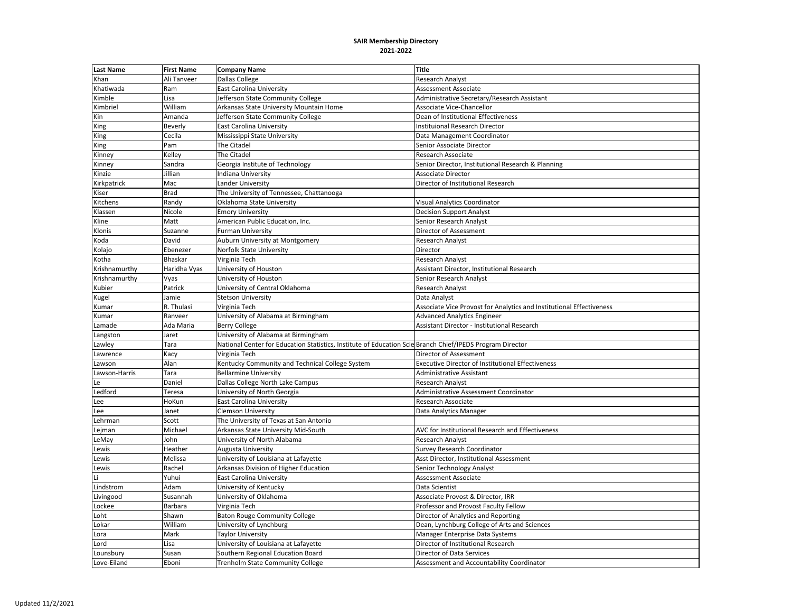| <b>Last Name</b> | <b>First Name</b> | <b>Company Name</b>                                                                                       | <b>Title</b>                                                         |
|------------------|-------------------|-----------------------------------------------------------------------------------------------------------|----------------------------------------------------------------------|
| Khan             | Ali Tanveer       | Dallas College                                                                                            | <b>Research Analyst</b>                                              |
| Khatiwada        | Ram               | East Carolina University                                                                                  | Assessment Associate                                                 |
| Kimble           | Lisa              | Jefferson State Community College                                                                         | Administrative Secretary/Research Assistant                          |
| Kimbriel         | William           | Arkansas State University Mountain Home                                                                   | Associate Vice-Chancellor                                            |
| Kin              | Amanda            | Jefferson State Community College                                                                         | Dean of Institutional Effectiveness                                  |
| King             | Beverly           | <b>East Carolina University</b>                                                                           | Instituional Research Director                                       |
| King             | Cecila            | Mississippi State University                                                                              | Data Management Coordinator                                          |
| King             | Pam               | <b>The Citadel</b>                                                                                        | Senior Associate Director                                            |
| Kinney           | Kelley            | The Citadel                                                                                               | <b>Research Associate</b>                                            |
| Kinney           | Sandra            | Georgia Institute of Technology                                                                           | Senior Director, Institutional Research & Planning                   |
| Kinzie           | Jillian           | Indiana University                                                                                        | <b>Associate Director</b>                                            |
| Kirkpatrick      | Mac               | Lander University                                                                                         | Director of Institutional Research                                   |
| Kiser            | Brad              | The University of Tennessee, Chattanooga                                                                  |                                                                      |
| Kitchens         | Randy             | Oklahoma State University                                                                                 | <b>Visual Analytics Coordinator</b>                                  |
| Klassen          | Nicole            | <b>Emory University</b>                                                                                   | <b>Decision Support Analyst</b>                                      |
| Kline            | Matt              | American Public Education, Inc.                                                                           | Senior Research Analyst                                              |
| Klonis           | Suzanne           | <b>Furman University</b>                                                                                  | Director of Assessment                                               |
| Koda             | David             | Auburn University at Montgomery                                                                           | Research Analyst                                                     |
| Kolajo           | Ebenezer          | Norfolk State University                                                                                  | Director                                                             |
| Kotha            | <b>Bhaskar</b>    | Virginia Tech                                                                                             | Research Analyst                                                     |
| Krishnamurthy    | Haridha Vyas      | University of Houston                                                                                     | Assistant Director, Institutional Research                           |
| Krishnamurthy    | Vyas              | University of Houston                                                                                     | Senior Research Analyst                                              |
| Kubier           | Patrick           | University of Central Oklahoma                                                                            | Research Analyst                                                     |
| Kugel            | Jamie             | <b>Stetson University</b>                                                                                 | Data Analyst                                                         |
| Kumar            | R. Thulasi        | Virginia Tech                                                                                             | Associate Vice Provost for Analytics and Institutional Effectiveness |
| Kumar            | Ranveer           | University of Alabama at Birmingham                                                                       | <b>Advanced Analytics Engineer</b>                                   |
| Lamade           | Ada Maria         | <b>Berry College</b>                                                                                      | Assistant Director - Institutional Research                          |
| Langston         | Jaret             | University of Alabama at Birmingham                                                                       |                                                                      |
| Lawley           | Tara              | National Center for Education Statistics, Institute of Education Scie Branch Chief/IPEDS Program Director |                                                                      |
| Lawrence         | Kacy              | Virginia Tech                                                                                             | Director of Assessment                                               |
| Lawson           | Alan              | Kentucky Community and Technical College System                                                           | <b>Executive Director of Institutional Effectiveness</b>             |
| Lawson-Harris    | Tara              | <b>Bellarmine University</b>                                                                              | <b>Administrative Assistant</b>                                      |
| Le               | Daniel            | Dallas College North Lake Campus                                                                          | <b>Research Analyst</b>                                              |
| Ledford          | Teresa            | University of North Georgia                                                                               | Administrative Assessment Coordinator                                |
| Lee              | HoKun             | <b>East Carolina University</b>                                                                           | Research Associate                                                   |
| Lee              | Janet             | <b>Clemson University</b>                                                                                 | Data Analytics Manager                                               |
| Lehrman          | Scott             | The University of Texas at San Antonio                                                                    |                                                                      |
| Lejman           | Michael           | Arkansas State University Mid-South                                                                       | AVC for Institutional Research and Effectiveness                     |
| eMay             | John              | University of North Alabama                                                                               | <b>Research Analyst</b>                                              |
| Lewis            | Heather           | Augusta University                                                                                        | <b>Survey Research Coordinator</b>                                   |
| Lewis            | Melissa           | University of Louisiana at Lafayette                                                                      | Asst Director, Institutional Assessment                              |
| Lewis            | Rachel            | Arkansas Division of Higher Education                                                                     | Senior Technology Analyst                                            |
|                  | Yuhui             | <b>East Carolina University</b>                                                                           | Assessment Associate                                                 |
| Lindstrom        | Adam              | University of Kentucky                                                                                    | Data Scientist                                                       |
| Livingood        | Susannah          | University of Oklahoma                                                                                    | Associate Provost & Director, IRR                                    |
| Lockee           | Barbara           | Virginia Tech                                                                                             | Professor and Provost Faculty Fellow                                 |
| Loht             | Shawn             | <b>Baton Rouge Community College</b>                                                                      | Director of Analytics and Reporting                                  |
| Lokar            | William           | University of Lynchburg                                                                                   | Dean, Lynchburg College of Arts and Sciences                         |
| Lora             | Mark              | <b>Taylor University</b>                                                                                  | Manager Enterprise Data Systems                                      |
| Lord             | Lisa              | University of Louisiana at Lafayette                                                                      | Director of Institutional Research                                   |
| Lounsbury        | Susan             | Southern Regional Education Board                                                                         | <b>Director of Data Services</b>                                     |
| Love-Eiland      | Eboni             | <b>Trenholm State Community College</b>                                                                   | Assessment and Accountability Coordinator                            |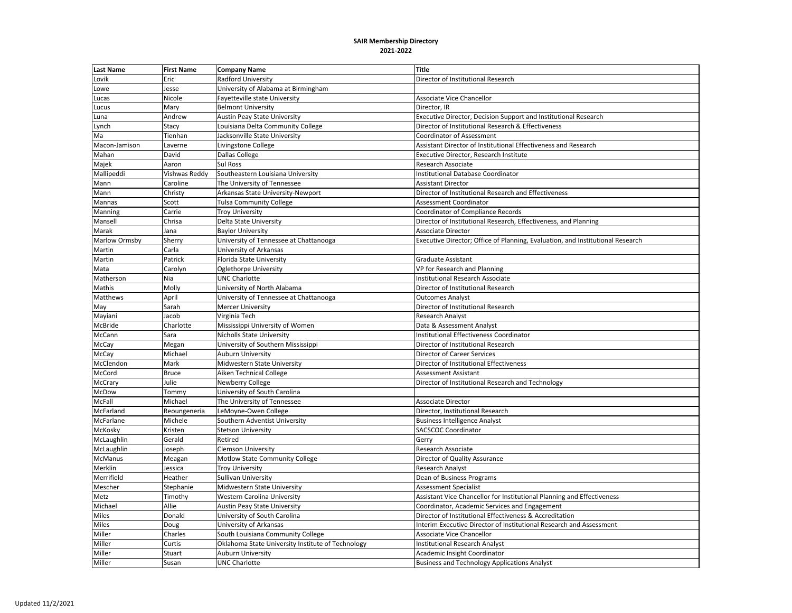| <b>Last Name</b> | <b>First Name</b> | <b>Company Name</b>                               | <b>Title</b>                                                                   |
|------------------|-------------------|---------------------------------------------------|--------------------------------------------------------------------------------|
| Lovik            | Eric              | <b>Radford University</b>                         | Director of Institutional Research                                             |
| Lowe             | Jesse             | University of Alabama at Birmingham               |                                                                                |
| Lucas            | Nicole            | Fayetteville state University                     | Associate Vice Chancellor                                                      |
| Lucus            | Mary              | <b>Belmont University</b>                         | Director, IR                                                                   |
| Luna             | Andrew            | <b>Austin Peay State University</b>               | Executive Director, Decision Support and Institutional Research                |
| Lynch            | Stacy             | Louisiana Delta Community College                 | Director of Institutional Research & Effectiveness                             |
| Ma               | Tienhan           | Jacksonville State University                     | <b>Coordinator of Assessment</b>                                               |
| Macon-Jamison    | Laverne           | Livingstone College                               | Assistant Director of Institutional Effectiveness and Research                 |
| Mahan            | David             | Dallas College                                    | Executive Director, Research Institute                                         |
| Majek            | Aaron             | Sul Ross                                          | <b>Research Associate</b>                                                      |
| Mallipeddi       | Vishwas Reddy     | Southeastern Louisiana University                 | Institutional Database Coordinator                                             |
| Mann             | Caroline          | The University of Tennessee                       | <b>Assistant Director</b>                                                      |
| Mann             | Christy           | Arkansas State University-Newport                 | Director of Institutional Research and Effectiveness                           |
| Mannas           | Scott             | <b>Tulsa Community College</b>                    | <b>Assessment Coordinator</b>                                                  |
| Manning          | Carrie            | <b>Troy University</b>                            | <b>Coordinator of Compliance Records</b>                                       |
| Mansell          | Chrisa            | Delta State University                            | Director of Institutional Research, Effectiveness, and Planning                |
| Marak            | Jana              | <b>Baylor University</b>                          | <b>Associate Director</b>                                                      |
| Marlow Ormsby    | Sherry            | University of Tennessee at Chattanooga            | Executive Director; Office of Planning, Evaluation, and Institutional Research |
| Martin           | Carla             | University of Arkansas                            |                                                                                |
| Martin           | Patrick           | Florida State University                          | <b>Graduate Assistant</b>                                                      |
| Mata             | Carolyn           | Oglethorpe University                             | VP for Research and Planning                                                   |
| Matherson        | Nia               | <b>UNC Charlotte</b>                              | Institutional Research Associate                                               |
| Mathis           | Molly             | University of North Alabama                       | Director of Institutional Research                                             |
| Matthews         | April             | University of Tennessee at Chattanooga            | <b>Outcomes Analyst</b>                                                        |
| May              | Sarah             | Mercer University                                 | Director of Institutional Research                                             |
| Mayiani          | Jacob             | Virginia Tech                                     | Research Analyst                                                               |
| McBride          | Charlotte         | Mississippi University of Women                   | Data & Assessment Analyst                                                      |
| McCann           | Sara              | <b>Nicholls State University</b>                  | Institutional Effectiveness Coordinator                                        |
| McCay            | Megan             | University of Southern Mississippi                | Director of Institutional Research                                             |
| McCay            | Michael           | <b>Auburn University</b>                          | Director of Career Services                                                    |
| McClendon        | Mark              | Midwestern State University                       | Director of Institutional Effectiveness                                        |
| McCord           | <b>Bruce</b>      | Aiken Technical College                           | Assessment Assistant                                                           |
| McCrary          | Julie             | Newberry College                                  | Director of Institutional Research and Technology                              |
| McDow            | Tommy             | University of South Carolina                      |                                                                                |
| McFall           | Michael           | The University of Tennessee                       | <b>Associate Director</b>                                                      |
| McFarland        | Reoungeneria      | LeMoyne-Owen College                              | Director, Institutional Research                                               |
| McFarlane        | Michele           | Southern Adventist University                     | <b>Business Intelligence Analyst</b>                                           |
| McKosky          | Kristen           | <b>Stetson University</b>                         | <b>SACSCOC Coordinator</b>                                                     |
| McLaughlin       | Gerald            | Retired                                           | Gerry                                                                          |
| McLaughlin       | Joseph            | <b>Clemson University</b>                         | Research Associate                                                             |
| <b>McManus</b>   | Meagan            | <b>Motlow State Community College</b>             | Director of Quality Assurance                                                  |
| Merklin          | Jessica           | <b>Troy University</b>                            | <b>Research Analyst</b>                                                        |
| Merrifield       | Heather           | <b>Sullivan University</b>                        | Dean of Business Programs                                                      |
| Mescher          | Stephanie         | Midwestern State University                       | <b>Assessment Specialist</b>                                                   |
| Metz             | Timothy           | <b>Western Carolina University</b>                | Assistant Vice Chancellor for Institutional Planning and Effectiveness         |
| Michael          | Allie             | <b>Austin Peay State University</b>               | Coordinator, Academic Services and Engagement                                  |
| <b>Miles</b>     | Donald            | University of South Carolina                      | Director of Institutional Effectiveness & Accreditation                        |
| Miles            | Doug              | University of Arkansas                            | Interim Executive Director of Institutional Research and Assessment            |
| Miller           | Charles           | South Louisiana Community College                 | Associate Vice Chancellor                                                      |
| Miller           | Curtis            | Oklahoma State University Institute of Technology | <b>Institutional Research Analyst</b>                                          |
| Miller           | Stuart            | <b>Auburn University</b>                          | Academic Insight Coordinator                                                   |
| Miller           | Susan             | <b>UNC Charlotte</b>                              | <b>Business and Technology Applications Analyst</b>                            |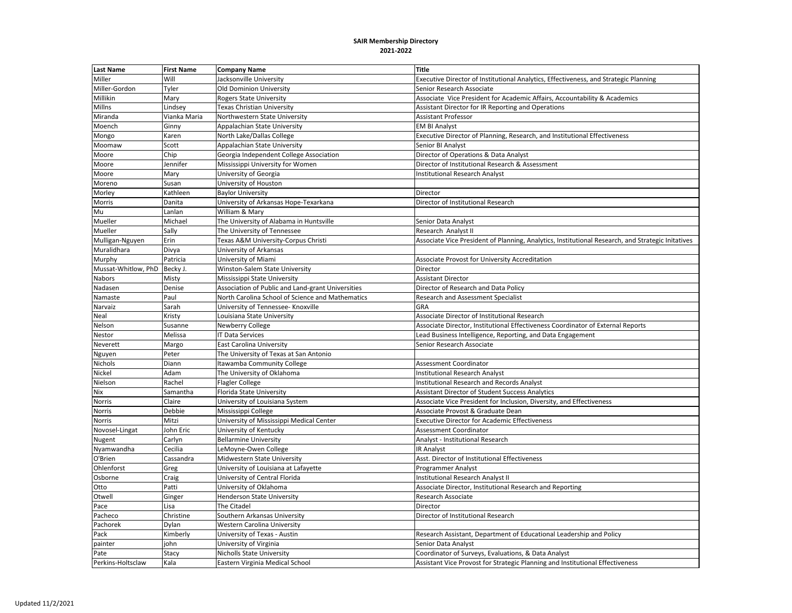| <b>Last Name</b>    | <b>First Name</b> | <b>Company Name</b>                               | <b>Title</b>                                                                                      |
|---------------------|-------------------|---------------------------------------------------|---------------------------------------------------------------------------------------------------|
| Miller              | Will              | Jacksonville University                           | Executive Director of Institutional Analytics, Effectiveness, and Strategic Planning              |
| Miller-Gordon       | Tyler             | <b>Old Dominion University</b>                    | Senior Research Associate                                                                         |
| Millikin            | Mary              | <b>Rogers State University</b>                    | Associate Vice President for Academic Affairs, Accountability & Academics                         |
| Millns              | Lindsey           | <b>Texas Christian University</b>                 | Assistant Director for IR Reporting and Operations                                                |
| Miranda             | Vianka Maria      | Northwestern State University                     | <b>Assistant Professor</b>                                                                        |
| Moench              | Ginny             | Appalachian State University                      | <b>EM BI Analyst</b>                                                                              |
| Mongo               | Karen             | North Lake/Dallas College                         | Executive Director of Planning, Research, and Institutional Effectiveness                         |
| Moomaw              | Scott             | Appalachian State University                      | Senior BI Analyst                                                                                 |
| Moore               | Chip              | Georgia Independent College Association           | Director of Operations & Data Analyst                                                             |
| Moore               | Jennifer          | Mississippi University for Women                  | Director of Institutional Research & Assessment                                                   |
| Moore               | Mary              | University of Georgia                             | <b>Institutional Research Analyst</b>                                                             |
| Moreno              | Susan             | University of Houston                             |                                                                                                   |
| Morley              | Kathleen          | <b>Baylor University</b>                          | Director                                                                                          |
| Morris              | Danita            | University of Arkansas Hope-Texarkana             | Director of Institutional Research                                                                |
| Mu                  | Lanlan            | William & Mary                                    |                                                                                                   |
| Mueller             | Michael           | The University of Alabama in Huntsville           | Senior Data Analyst                                                                               |
| Mueller             | Sally             | The University of Tennessee                       | Research Analyst II                                                                               |
| Mulligan-Nguyen     | Erin              | Texas A&M University-Corpus Christi               | Associate Vice President of Planning, Analytics, Institutional Research, and Strategic Initatives |
| Muralidhara         | Divya             | University of Arkansas                            |                                                                                                   |
| Murphy              | Patricia          | University of Miami                               | Associate Provost for University Accreditation                                                    |
| Mussat-Whitlow, PhD | Becky J.          | Winston-Salem State University                    | Director                                                                                          |
| Nabors              | Misty             | Mississippi State University                      | <b>Assistant Director</b>                                                                         |
| Nadasen             | Denise            | Association of Public and Land-grant Universities | Director of Research and Data Policy                                                              |
| Namaste             | Paul              | North Carolina School of Science and Mathematics  | <b>Research and Assessment Specialist</b>                                                         |
| Narvaiz             | Sarah             | University of Tennessee- Knoxville                | GRA                                                                                               |
| Neal                | Kristy            | Louisiana State University                        | Associate Director of Institutional Research                                                      |
| Nelson              | Susanne           | Newberry College                                  | Associate Director, Institutional Effectiveness Coordinator of External Reports                   |
| Nestor              | Melissa           | <b>IT Data Services</b>                           | Lead Business Intelligence, Reporting, and Data Engagement                                        |
| Neverett            | Margo             | <b>East Carolina University</b>                   | Senior Research Associate                                                                         |
| Nguyen              | Peter             | The University of Texas at San Antonio            |                                                                                                   |
| Nichols             | Diann             | Itawamba Community College                        | Assessment Coordinator                                                                            |
| Nickel              | Adam              | The University of Oklahoma                        | <b>Institutional Research Analyst</b>                                                             |
| Nielson             | Rachel            | <b>Flagler College</b>                            | <b>Institutional Research and Records Analyst</b>                                                 |
| Nix                 | Samantha          | Florida State University                          | <b>Assistant Director of Student Success Analytics</b>                                            |
| Norris              | Claire            | University of Louisiana System                    | Associate Vice President for Inclusion, Diversity, and Effectiveness                              |
| Norris              | Debbie            | Mississippi College                               | Associate Provost & Graduate Dean                                                                 |
| Norris              | Mitzi             | University of Mississippi Medical Center          | <b>Executive Director for Academic Effectiveness</b>                                              |
| Novosel-Lingat      | John Eric         | University of Kentucky                            | <b>Assessment Coordinator</b>                                                                     |
| Nugent              | Carlyn            | <b>Bellarmine University</b>                      | Analyst - Institutional Research                                                                  |
| Nyamwandha          | Cecilia           | LeMoyne-Owen College                              | <b>IR Analyst</b>                                                                                 |
| O'Brien             | Cassandra         | Midwestern State University                       | Asst. Director of Institutional Effectiveness                                                     |
| Ohlenforst          | Greg              | University of Louisiana at Lafayette              | Programmer Analyst                                                                                |
| Osborne             | Craig             | University of Central Florida                     | Institutional Research Analyst II                                                                 |
| Otto                | Patti             | University of Oklahoma                            | Associate Director, Institutional Research and Reporting                                          |
| Otwell              | Ginger            | <b>Henderson State University</b>                 | Research Associate                                                                                |
| Pace                | Lisa              | The Citadel                                       | Director                                                                                          |
| Pacheco             | Christine         | Southern Arkansas University                      | Director of Institutional Research                                                                |
| Pachorek            | Dylan             | Western Carolina University                       |                                                                                                   |
| Pack                | Kimberly          | University of Texas - Austin                      | Research Assistant, Department of Educational Leadership and Policy                               |
| painter             | iohn              | University of Virginia                            | Senior Data Analyst                                                                               |
| Pate                | Stacy             | <b>Nicholls State University</b>                  | Coordinator of Surveys, Evaluations, & Data Analyst                                               |
| Perkins-Holtsclaw   | Kala              | Eastern Virginia Medical School                   | Assistant Vice Provost for Strategic Planning and Institutional Effectiveness                     |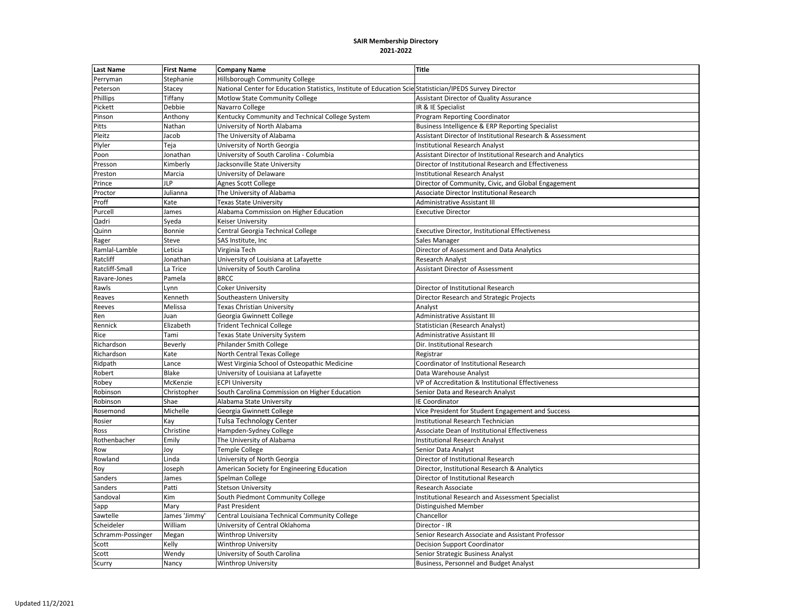| <b>Last Name</b>  | <b>First Name</b> | <b>Company Name</b>                                                                                      | <b>Title</b>                                               |
|-------------------|-------------------|----------------------------------------------------------------------------------------------------------|------------------------------------------------------------|
| Perryman          | Stephanie         | Hillsborough Community College                                                                           |                                                            |
| Peterson          | Stacey            | National Center for Education Statistics, Institute of Education Scie Statistician/IPEDS Survey Director |                                                            |
| Phillips          | Tiffany           | Motlow State Community College                                                                           | Assistant Director of Quality Assurance                    |
| Pickett           | Debbie            | Navarro College                                                                                          | IR & IE Specialist                                         |
| Pinson            | Anthony           | Kentucky Community and Technical College System                                                          | Program Reporting Coordinator                              |
| Pitts             | Nathan            | University of North Alabama                                                                              | Business Intelligence & ERP Reporting Specialist           |
| Pleitz            | Jacob             | The University of Alabama                                                                                | Assistant Director of Institutional Research & Assessment  |
| Plyler            | Teja              | University of North Georgia                                                                              | <b>Institutional Research Analyst</b>                      |
| Poon              | Jonathan          | University of South Carolina - Columbia                                                                  | Assistant Director of Institutional Research and Analytics |
| Presson           | Kimberly          | Jacksonville State University                                                                            | Director of Institutional Research and Effectiveness       |
| Preston           | Marcia            | University of Delaware                                                                                   | <b>Institutional Research Analyst</b>                      |
| Prince            | <b>JLP</b>        | <b>Agnes Scott College</b>                                                                               | Director of Community, Civic, and Global Engagement        |
| Proctor           | Julianna          | The University of Alabama                                                                                | Associate Director Institutional Research                  |
| Proff             | Kate              | Texas State University                                                                                   | Administrative Assistant III                               |
| Purcell           | James             | Alabama Commission on Higher Education                                                                   | <b>Executive Director</b>                                  |
| Qadri             | Syeda             | Keiser University                                                                                        |                                                            |
| Quinn             | Bonnie            | Central Georgia Technical College                                                                        | Executive Director, Institutional Effectiveness            |
| Rager             | Steve             | SAS Institute, Inc.                                                                                      | Sales Manager                                              |
| Ramlal-Lamble     | Leticia           | Virginia Tech                                                                                            | Director of Assessment and Data Analytics                  |
| Ratcliff          | Jonathan          | University of Louisiana at Lafayette                                                                     | <b>Research Analyst</b>                                    |
| Ratcliff-Small    | La Trice          | University of South Carolina                                                                             | <b>Assistant Director of Assessment</b>                    |
| Ravare-Jones      | Pamela            | <b>BRCC</b>                                                                                              |                                                            |
| Rawls             | Lynn              | <b>Coker University</b>                                                                                  | Director of Institutional Research                         |
| Reaves            | Kenneth           | Southeastern University                                                                                  | Director Research and Strategic Projects                   |
| Reeves            | Melissa           | <b>Texas Christian University</b>                                                                        | Analyst                                                    |
| Ren               | Juan              | Georgia Gwinnett College                                                                                 | Administrative Assistant III                               |
| Rennick           | Elizabeth         | <b>Trident Technical College</b>                                                                         | Statistician (Research Analyst)                            |
| Rice              | Tami              | Texas State University System                                                                            | Administrative Assistant III                               |
| Richardson        | Beverly           | <b>Philander Smith College</b>                                                                           | Dir. Institutional Research                                |
| Richardson        | Kate              | North Central Texas College                                                                              | Registrar                                                  |
| Ridpath           | Lance             | West Virginia School of Osteopathic Medicine                                                             | Coordinator of Institutional Research                      |
| Robert            | Blake             | University of Louisiana at Lafayette                                                                     | Data Warehouse Analyst                                     |
| Robey             | McKenzie          | <b>ECPI University</b>                                                                                   | VP of Accreditation & Institutional Effectiveness          |
| Robinson          | Christopher       | South Carolina Commission on Higher Education                                                            | Senior Data and Research Analyst                           |
| Robinson          | Shae              | Alabama State University                                                                                 | IE Coordinator                                             |
| Rosemond          | Michelle          | Georgia Gwinnett College                                                                                 | Vice President for Student Engagement and Success          |
| Rosier            | Kay               | Tulsa Technology Center                                                                                  | Institutional Research Technician                          |
| Ross              | Christine         | Hampden-Sydney College                                                                                   | Associate Dean of Institutional Effectiveness              |
| Rothenbacher      | Emily             | The University of Alabama                                                                                | <b>Institutional Research Analyst</b>                      |
| Row               | Joy               | <b>Temple College</b>                                                                                    | Senior Data Analyst                                        |
| Rowland           | Linda             | University of North Georgia                                                                              | Director of Institutional Research                         |
| Roy               | Joseph            | American Society for Engineering Education                                                               | Director, Institutional Research & Analytics               |
| Sanders           | James             | Spelman College                                                                                          | Director of Institutional Research                         |
| <b>Sanders</b>    | Patti             | <b>Stetson University</b>                                                                                | <b>Research Associate</b>                                  |
| Sandoval          | Kim               | South Piedmont Community College                                                                         | Institutional Research and Assessment Specialist           |
| Sapp              | Mary              | Past President                                                                                           | Distinguished Member                                       |
| Sawtelle          | James 'Jimmy'     | Central Louisiana Technical Community College                                                            | Chancellor                                                 |
| Scheideler        | William           | University of Central Oklahoma                                                                           | Director - IR                                              |
| Schramm-Possinger | Megan             | <b>Winthrop University</b>                                                                               | Senior Research Associate and Assistant Professor          |
| Scott             | Kelly             | <b>Winthrop University</b>                                                                               | <b>Decision Support Coordinator</b>                        |
| Scott             | Wendy             | University of South Carolina                                                                             | Senior Strategic Business Analyst                          |
| Scurry            | Nancy             | <b>Winthrop University</b>                                                                               | <b>Business, Personnel and Budget Analyst</b>              |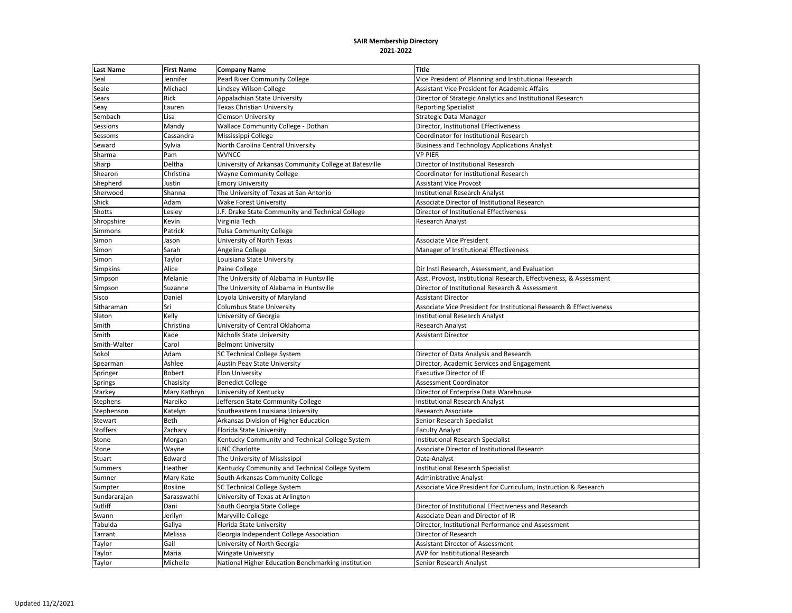| <b>Last Name</b> | <b>First Name</b> | <b>Company Name</b>                                    | <b>Title</b>                                                        |
|------------------|-------------------|--------------------------------------------------------|---------------------------------------------------------------------|
| Seal             | Jennifer          | Pearl River Community College                          | Vice President of Planning and Institutional Research               |
| Seale            | Michael           | Lindsey Wilson College                                 | <b>Assistant Vice President for Academic Affairs</b>                |
| Sears            | Rick              | Appalachian State University                           | Director of Strategic Analytics and Institutional Research          |
| Seay             | Lauren            | Texas Christian University                             | <b>Reporting Specialist</b>                                         |
| Sembach          | Lisa              | <b>Clemson University</b>                              | <b>Strategic Data Manager</b>                                       |
| Sessions         | Mandy             | Wallace Community College - Dothan                     | Director, Institutional Effectiveness                               |
| Sessoms          | Cassandra         | Mississippi College                                    | Coordinator for Institutional Research                              |
| Seward           | Sylvia            | North Carolina Central University                      | <b>Business and Technology Applications Analyst</b>                 |
| Sharma           | Pam               | <b>WVNCC</b>                                           | <b>VP PIER</b>                                                      |
| Sharp            | Deltha            | University of Arkansas Community College at Batesville | Director of Institutional Research                                  |
| Shearon          | Christina         | <b>Wayne Community College</b>                         | Coordinator for Institutional Research                              |
| Shepherd         | Justin            | <b>Emory University</b>                                | <b>Assistant Vice Provost</b>                                       |
| Sherwood         | Shanna            | The University of Texas at San Antonio                 | <b>Institutional Research Analyst</b>                               |
| Shick            | Adam              | <b>Wake Forest University</b>                          | Associate Director of Institutional Research                        |
| Shotts           | Lesley            | J.F. Drake State Community and Technical College       | Director of Institutional Effectiveness                             |
| Shropshire       | Kevin             | Virginia Tech                                          | <b>Research Analyst</b>                                             |
| Simmons          | Patrick           | <b>Tulsa Community College</b>                         |                                                                     |
| Simon            | Jason             | University of North Texas                              | <b>Associate Vice President</b>                                     |
| Simon            | Sarah             | Angelina College                                       | Manager of Institutional Effectiveness                              |
| Simon            | Taylor            | Louisiana State University                             |                                                                     |
| Simpkins         | Alice             | Paine College                                          | Dir Instl Research, Assessment, and Evaluation                      |
| Simpson          | Melanie           | The University of Alabama in Huntsville                | Asst. Provost, Institutional Research, Effectiveness, & Assessment  |
| Simpson          | Suzanne           | The University of Alabama in Huntsville                | Director of Institutional Research & Assessment                     |
| Sisco            | Daniel            | Loyola University of Maryland                          | <b>Assistant Director</b>                                           |
| Sitharaman       | Sri               | Columbus State University                              | Associate Vice President for Institutional Research & Effectiveness |
| Slaton           | Kelly             | University of Georgia                                  | <b>Institutional Research Analyst</b>                               |
| Smith            | Christina         | University of Central Oklahoma                         | <b>Research Analyst</b>                                             |
| Smith            | Kade              | <b>Nicholls State University</b>                       | <b>Assistant Director</b>                                           |
| Smith-Walter     | Carol             | <b>Belmont University</b>                              |                                                                     |
| Sokol            | Adam              | <b>SC Technical College System</b>                     | Director of Data Analysis and Research                              |
| Spearman         | Ashlee            | Austin Peay State University                           | Director, Academic Services and Engagement                          |
| Springer         | Robert            | <b>Elon University</b>                                 | <b>Executive Director of IE</b>                                     |
| Springs          | Chasisity         | <b>Benedict College</b>                                | Assessment Coordinator                                              |
| Starkey          | Mary Kathryn      | University of Kentucky                                 | Director of Enterprise Data Warehouse                               |
| Stephens         | Nareiko           | Jefferson State Community College                      | <b>Institutional Research Analyst</b>                               |
| Stephenson       | Katelyn           | Southeastern Louisiana University                      | Research Associate                                                  |
| Stewart          | Beth              | Arkansas Division of Higher Education                  | Senior Research Specialist                                          |
| <b>Stoffers</b>  | Zachary           | Florida State University                               | <b>Faculty Analyst</b>                                              |
| Stone            | Morgan            | Kentucky Community and Technical College System        | <b>Institutional Research Specialist</b>                            |
| Stone            | Wayne             | <b>UNC Charlotte</b>                                   | Associate Director of Institutional Research                        |
| Stuart           | Edward            | The University of Mississippi                          | Data Analyst                                                        |
| Summers          | Heather           | Kentucky Community and Technical College System        | <b>Institutional Research Specialist</b>                            |
| Sumner           | Mary Kate         | South Arkansas Community College                       | <b>Administrative Analyst</b>                                       |
| Sumpter          | Rosline           | <b>SC Technical College System</b>                     | Associate Vice President for Curriculum, Instruction & Research     |
| Sundararajan     | Sarasswathi       | University of Texas at Arlington                       |                                                                     |
| Sutliff          | Dani              | South Georgia State College                            | Director of Institutional Effectiveness and Research                |
| Swann            | Jerilyn           | Maryville College                                      | Associate Dean and Director of IR                                   |
| Tabulda          | Galiya            | Florida State University                               | Director, Institutional Performance and Assessment                  |
| Tarrant          | Melissa           | Georgia Independent College Association                | Director of Research                                                |
| Taylor           | Gail              | University of North Georgia                            | <b>Assistant Director of Assessment</b>                             |
| Taylor           | Maria             | <b>Wingate University</b>                              | AVP for Instititutional Research                                    |
| Taylor           | Michelle          | National Higher Education Benchmarking Institution     | Senior Research Analyst                                             |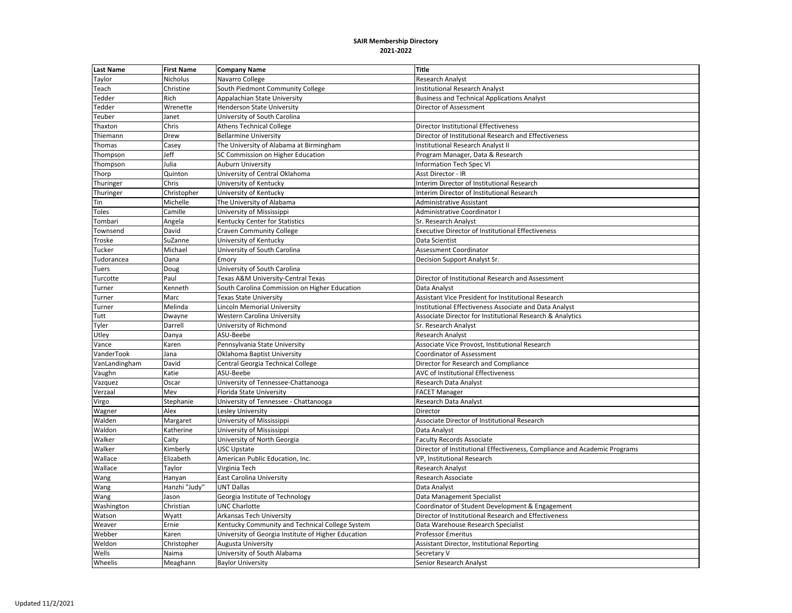| <b>Last Name</b> | <b>First Name</b> | <b>Company Name</b>                                 | <b>Title</b>                                                              |
|------------------|-------------------|-----------------------------------------------------|---------------------------------------------------------------------------|
| Taylor           | Nicholus          | Navarro College                                     | Research Analyst                                                          |
| Teach            | Christine         | South Piedmont Community College                    | <b>Institutional Research Analyst</b>                                     |
| Tedder           | Rich              | Appalachian State University                        | <b>Business and Technical Applications Analyst</b>                        |
| Tedder           | Wrenette          | <b>Henderson State University</b>                   | Director of Assessment                                                    |
| Teuber           | Janet             | University of South Carolina                        |                                                                           |
| Thaxton          | Chris             | <b>Athens Technical College</b>                     | Director Institutional Effectiveness                                      |
| Thiemann         | Drew              | <b>Bellarmine University</b>                        | Director of Institutional Research and Effectiveness                      |
| Thomas           | Casey             | The University of Alabama at Birmingham             | Institutional Research Analyst II                                         |
| Thompson         | Jeff              | SC Commission on Higher Education                   | Program Manager, Data & Research                                          |
| Thompson         | Julia             | <b>Auburn University</b>                            | <b>Information Tech Spec VI</b>                                           |
| Thorp            | Quinton           | University of Central Oklahoma                      | Asst Director - IR                                                        |
| Thuringer        | Chris             | University of Kentucky                              | Interim Director of Institutional Research                                |
| Thuringer        | Christopher       | University of Kentucky                              | Interim Director of Institutional Research                                |
| Tin              | Michelle          | The University of Alabama                           | Administrative Assistant                                                  |
| <b>Toles</b>     | Camille           | University of Mississippi                           | <b>Administrative Coordinator I</b>                                       |
| Tombari          | Angela            | Kentucky Center for Statistics                      | Sr. Research Analyst                                                      |
| Townsend         | David             | <b>Craven Community College</b>                     | <b>Executive Director of Institutional Effectiveness</b>                  |
| Troske           | SuZanne           | University of Kentucky                              | Data Scientist                                                            |
| Tucker           | Michael           | University of South Carolina                        | Assessment Coordinator                                                    |
| udorancea        | Oana              | Emory                                               | Decision Support Analyst Sr.                                              |
| Tuers            | Doug              | University of South Carolina                        |                                                                           |
| Turcotte         | Paul              | Texas A&M University-Central Texas                  | Director of Institutional Research and Assessment                         |
| Turner           | Kenneth           | South Carolina Commission on Higher Education       | Data Analyst                                                              |
| Turner           | Marc              | <b>Texas State University</b>                       | Assistant Vice President for Institutional Research                       |
| Turner           | Melinda           | <b>Lincoln Memorial University</b>                  | Institutional Effectiveness Associate and Data Analyst                    |
| Tutt             | Dwayne            | <b>Western Carolina University</b>                  | Associate Director for Institutional Research & Analytics                 |
| Tyler            | Darrell           | University of Richmond                              | Sr. Research Analyst                                                      |
| Utley            | Danya             | ASU-Beebe                                           | <b>Research Analyst</b>                                                   |
| Vance            | Karen             | Pennsylvania State University                       | Associate Vice Provost, Institutional Research                            |
| VanderTook       | Jana              | Oklahoma Baptist University                         | Coordinator of Assessment                                                 |
| VanLandingham    | David             | Central Georgia Technical College                   | Director for Research and Compliance                                      |
| Vaughn           | Katie             | ASU-Beebe                                           | AVC of Institutional Effectiveness                                        |
| Vazquez          | Oscar             | University of Tennessee-Chattanooga                 | Research Data Analyst                                                     |
| Verzaal          | Mev               | Florida State University                            | <b>FACET Manager</b>                                                      |
| Virgo            | Stephanie         | University of Tennessee - Chattanooga               | Research Data Analyst                                                     |
| Wagner           | Alex              | Lesley University                                   | Director                                                                  |
| Walden           | Margaret          | University of Mississippi                           | Associate Director of Institutional Research                              |
| Waldon           | Katherine         | University of Mississippi                           | Data Analyst                                                              |
| Walker           | Caity             | University of North Georgia                         | <b>Faculty Records Associate</b>                                          |
| Walker           | Kimberly          | <b>USC Upstate</b>                                  | Director of Institutional Effectiveness, Compliance and Academic Programs |
| Wallace          | Elizabeth         | American Public Education, Inc.                     | VP, Institutional Research                                                |
| Wallace          | Taylor            | Virginia Tech                                       | Research Analyst                                                          |
| Wang             | Hanyan            | <b>East Carolina University</b>                     | Research Associate                                                        |
| Wang             | Hanzhi "Judy"     | <b>UNT Dallas</b>                                   | Data Analyst                                                              |
| Wang             | Jason             | Georgia Institute of Technology                     | Data Management Specialist                                                |
| Washington       | Christian         | <b>UNC Charlotte</b>                                | Coordinator of Student Development & Engagement                           |
| Watson           | Wyatt             | Arkansas Tech University                            | Director of Institutional Research and Effectiveness                      |
| Weaver           | Ernie             | Kentucky Community and Technical College System     | Data Warehouse Research Specialist                                        |
| Webber           | Karen             | University of Georgia Institute of Higher Education | <b>Professor Emeritus</b>                                                 |
| Weldon           | Christopher       | Augusta University                                  | Assistant Director, Institutional Reporting                               |
| Wells            | Naima             | University of South Alabama                         | Secretary V                                                               |
| Wheelis          | Meaghann          | <b>Baylor University</b>                            | Senior Research Analyst                                                   |